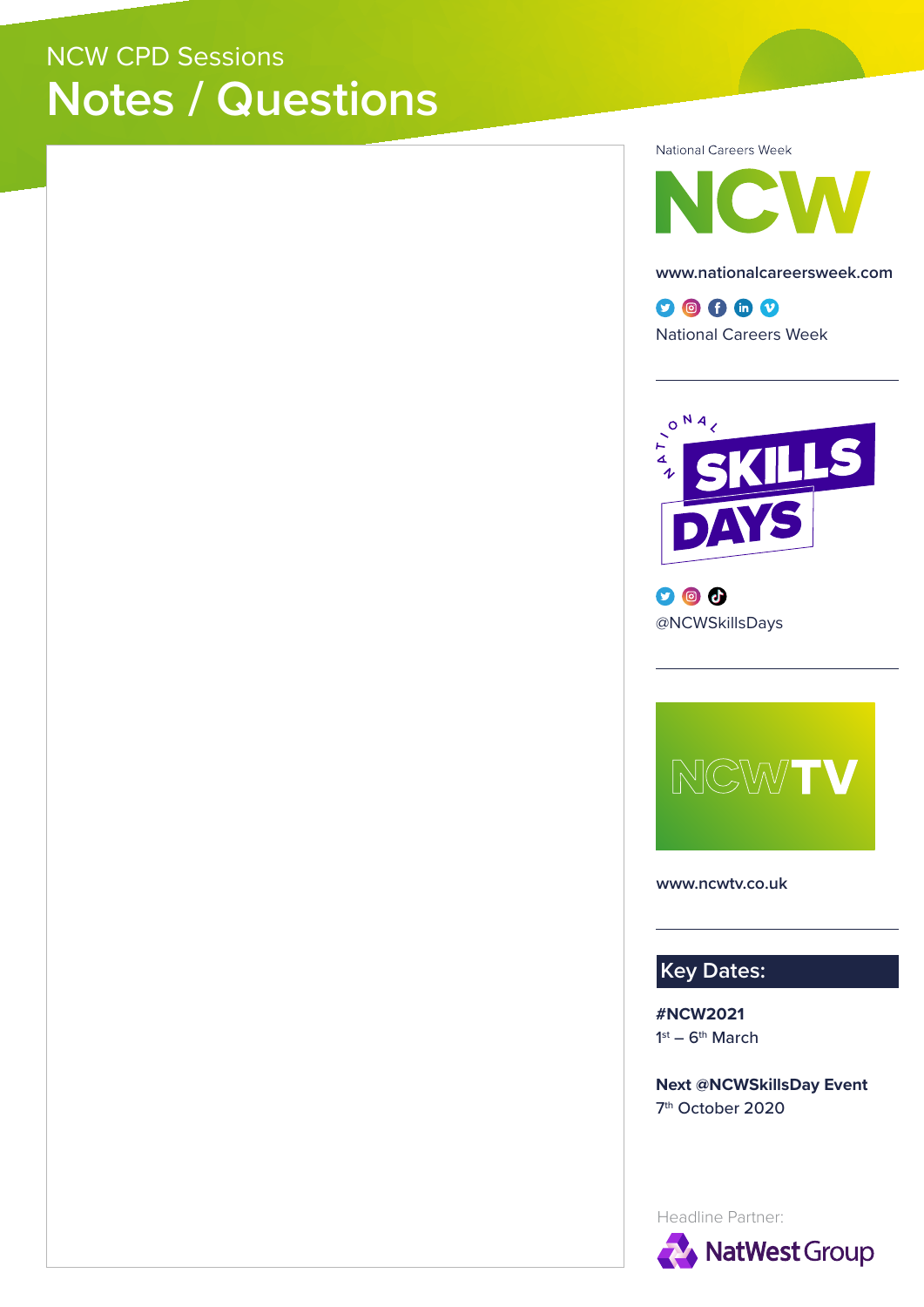## NCW CPD Sessions **Notes / Questions**

National Careers Week



**www.nationalcareersweek.com**

 $0@0@0$ National Careers Week



 $\bullet$   $\bullet$ @NCWSkillsDays



**www.ncwtv.co.uk**

**Key Dates:**

**#NCW2021**  $1<sup>st</sup> - 6<sup>th</sup> March$ 

**Next @NCWSkillsDay Event** 7th October 2020

Headline Partner: